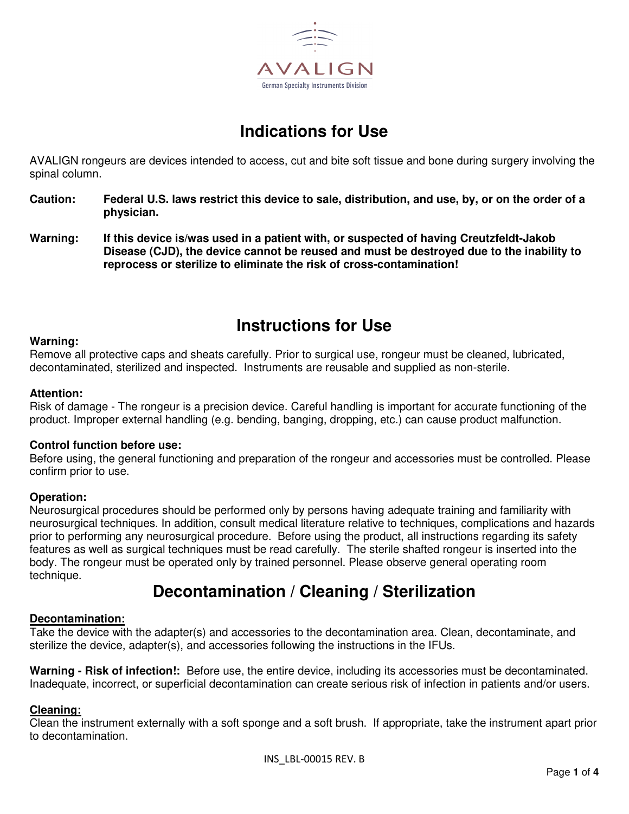

# **Indications for Use**

AVALIGN rongeurs are devices intended to access, cut and bite soft tissue and bone during surgery involving the spinal column.

- **Caution: Federal U.S. laws restrict this device to sale, distribution, and use, by, or on the order of a physician.**
- **Warning: If this device is/was used in a patient with, or suspected of having Creutzfeldt-Jakob Disease (CJD), the device cannot be reused and must be destroyed due to the inability to reprocess or sterilize to eliminate the risk of cross-contamination!**

## **Instructions for Use**

#### **Warning:**

Remove all protective caps and sheats carefully. Prior to surgical use, rongeur must be cleaned, lubricated, decontaminated, sterilized and inspected. Instruments are reusable and supplied as non-sterile.

#### **Attention:**

Risk of damage - The rongeur is a precision device. Careful handling is important for accurate functioning of the product. Improper external handling (e.g. bending, banging, dropping, etc.) can cause product malfunction.

#### **Control function before use:**

Before using, the general functioning and preparation of the rongeur and accessories must be controlled. Please confirm prior to use.

### **Operation:**

Neurosurgical procedures should be performed only by persons having adequate training and familiarity with neurosurgical techniques. In addition, consult medical literature relative to techniques, complications and hazards prior to performing any neurosurgical procedure. Before using the product, all instructions regarding its safety features as well as surgical techniques must be read carefully. The sterile shafted rongeur is inserted into the body. The rongeur must be operated only by trained personnel. Please observe general operating room technique.

## **Decontamination / Cleaning / Sterilization**

#### **Decontamination:**

Take the device with the adapter(s) and accessories to the decontamination area. Clean, decontaminate, and sterilize the device, adapter(s), and accessories following the instructions in the IFUs.

**Warning - Risk of infection!:** Before use, the entire device, including its accessories must be decontaminated. Inadequate, incorrect, or superficial decontamination can create serious risk of infection in patients and/or users.

### **Cleaning:**

Clean the instrument externally with a soft sponge and a soft brush. If appropriate, take the instrument apart prior to decontamination.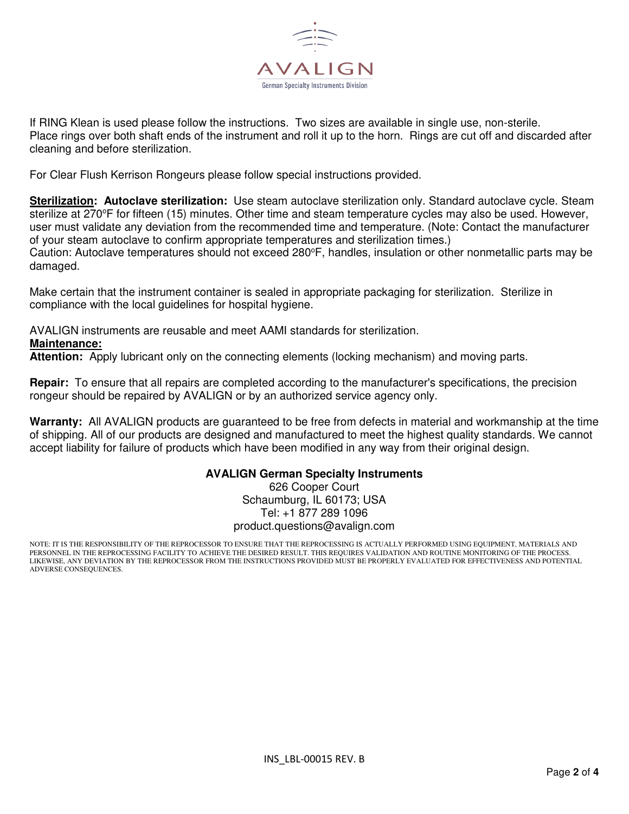

If RING Klean is used please follow the instructions. Two sizes are available in single use, non-sterile. Place rings over both shaft ends of the instrument and roll it up to the horn. Rings are cut off and discarded after cleaning and before sterilization.

For Clear Flush Kerrison Rongeurs please follow special instructions provided.

**Sterilization: Autoclave sterilization:** Use steam autoclave sterilization only. Standard autoclave cycle. Steam sterilize at 270°F for fifteen (15) minutes. Other time and steam temperature cycles may also be used. However, user must validate any deviation from the recommended time and temperature. (Note: Contact the manufacturer of your steam autoclave to confirm appropriate temperatures and sterilization times.) Caution: Autoclave temperatures should not exceed 280°F, handles, insulation or other nonmetallic parts may be damaged.

Make certain that the instrument container is sealed in appropriate packaging for sterilization. Sterilize in compliance with the local guidelines for hospital hygiene.

AVALIGN instruments are reusable and meet AAMI standards for sterilization.

**Maintenance:** 

**Attention:** Apply lubricant only on the connecting elements (locking mechanism) and moving parts.

**Repair:** To ensure that all repairs are completed according to the manufacturer's specifications, the precision rongeur should be repaired by AVALIGN or by an authorized service agency only.

**Warranty:** All AVALIGN products are guaranteed to be free from defects in material and workmanship at the time of shipping. All of our products are designed and manufactured to meet the highest quality standards. We cannot accept liability for failure of products which have been modified in any way from their original design.

### **AVALIGN German Specialty Instruments**

626 Cooper Court Schaumburg, IL 60173; USA Tel: +1 877 289 1096 product.questions@avalign.com

NOTE: IT IS THE RESPONSIBILITY OF THE REPROCESSOR TO ENSURE THAT THE REPROCESSING IS ACTUALLY PERFORMED USING EQUIPMENT, MATERIALS AND PERSONNEL IN THE REPROCESSING FACILITY TO ACHIEVE THE DESIRED RESULT. THIS REQUIRES VALIDATION AND ROUTINE MONITORING OF THE PROCESS. LIKEWISE, ANY DEVIATION BY THE REPROCESSOR FROM THE INSTRUCTIONS PROVIDED MUST BE PROPERLY EVALUATED FOR EFFECTIVENESS AND POTENTIAL ADVERSE CONSEQUENCES.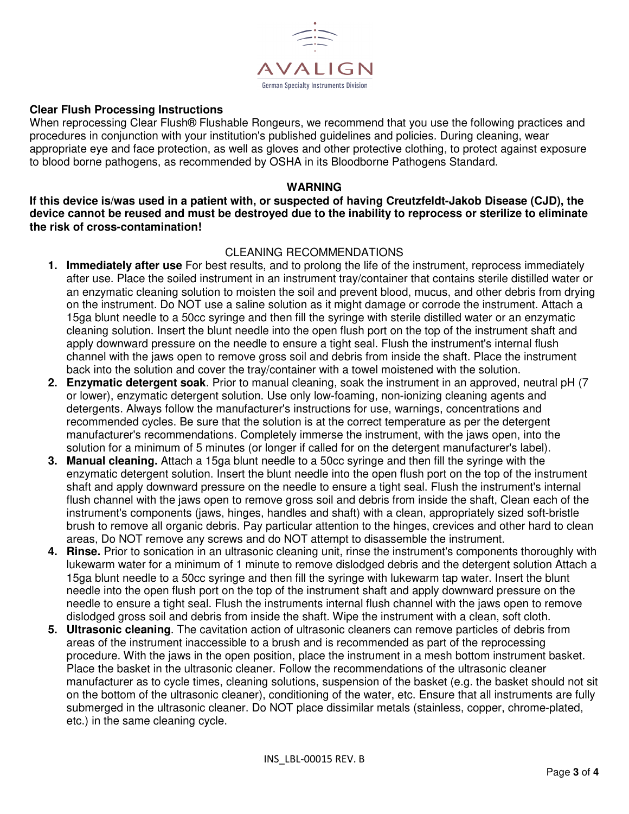

### **Clear Flush Processing Instructions**

When reprocessing Clear Flush® Flushable Rongeurs, we recommend that you use the following practices and procedures in conjunction with your institution's published guidelines and policies. During cleaning, wear appropriate eye and face protection, as well as gloves and other protective clothing, to protect against exposure to blood borne pathogens, as recommended by OSHA in its Bloodborne Pathogens Standard.

#### **WARNING**

**If this device is/was used in a patient with, or suspected of having Creutzfeldt-Jakob Disease (CJD), the device cannot be reused and must be destroyed due to the inability to reprocess or sterilize to eliminate the risk of cross-contamination!** 

### CLEANING RECOMMENDATIONS

- **1. Immediately after use** For best results, and to prolong the life of the instrument, reprocess immediately after use. Place the soiled instrument in an instrument tray/container that contains sterile distilled water or an enzymatic cleaning solution to moisten the soil and prevent blood, mucus, and other debris from drying on the instrument. Do NOT use a saline solution as it might damage or corrode the instrument. Attach a 15ga blunt needle to a 50cc syringe and then fill the syringe with sterile distilled water or an enzymatic cleaning solution. Insert the blunt needle into the open flush port on the top of the instrument shaft and apply downward pressure on the needle to ensure a tight seal. Flush the instrument's internal flush channel with the jaws open to remove gross soil and debris from inside the shaft. Place the instrument back into the solution and cover the tray/container with a towel moistened with the solution.
- **2. Enzymatic detergent soak**. Prior to manual cleaning, soak the instrument in an approved, neutral pH (7 or lower), enzymatic detergent solution. Use only low-foaming, non-ionizing cleaning agents and detergents. Always follow the manufacturer's instructions for use, warnings, concentrations and recommended cycles. Be sure that the solution is at the correct temperature as per the detergent manufacturer's recommendations. Completely immerse the instrument, with the jaws open, into the solution for a minimum of 5 minutes (or longer if called for on the detergent manufacturer's label).
- **3. Manual cleaning.** Attach a 15ga blunt needle to a 50cc syringe and then fill the syringe with the enzymatic detergent solution. Insert the blunt needle into the open flush port on the top of the instrument shaft and apply downward pressure on the needle to ensure a tight seal. Flush the instrument's internal flush channel with the jaws open to remove gross soil and debris from inside the shaft, Clean each of the instrument's components (jaws, hinges, handles and shaft) with a clean, appropriately sized soft-bristle brush to remove all organic debris. Pay particular attention to the hinges, crevices and other hard to clean areas, Do NOT remove any screws and do NOT attempt to disassemble the instrument.
- **4. Rinse.** Prior to sonication in an ultrasonic cleaning unit, rinse the instrument's components thoroughly with lukewarm water for a minimum of 1 minute to remove dislodged debris and the detergent solution Attach a 15ga blunt needle to a 50cc syringe and then fill the syringe with lukewarm tap water. Insert the blunt needle into the open flush port on the top of the instrument shaft and apply downward pressure on the needle to ensure a tight seal. Flush the instruments internal flush channel with the jaws open to remove dislodged gross soil and debris from inside the shaft. Wipe the instrument with a clean, soft cloth.
- **5. Ultrasonic cleaning**. The cavitation action of ultrasonic cleaners can remove particles of debris from areas of the instrument inaccessible to a brush and is recommended as part of the reprocessing procedure. With the jaws in the open position, place the instrument in a mesh bottom instrument basket. Place the basket in the ultrasonic cleaner. Follow the recommendations of the ultrasonic cleaner manufacturer as to cycle times, cleaning solutions, suspension of the basket (e.g. the basket should not sit on the bottom of the ultrasonic cleaner), conditioning of the water, etc. Ensure that all instruments are fully submerged in the ultrasonic cleaner. Do NOT place dissimilar metals (stainless, copper, chrome-plated, etc.) in the same cleaning cycle.